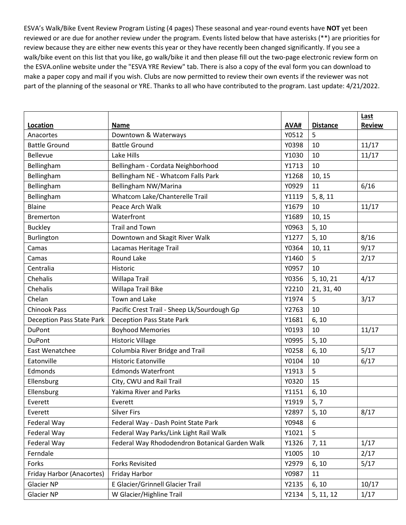ESVA's Walk/Bike Event Review Program Listing (4 pages) These seasonal and year-round events have **NOT** yet been reviewed or are due for another review under the program. Events listed below that have asterisks (\*\*) are priorities for review because they are either new events this year or they have recently been changed significantly. If you see a walk/bike event on this list that you like, go walk/bike it and then please fill out the two-page electronic review form on the ESVA.online website under the "ESVA YRE Review" tab. There is also a copy of the eval form you can download to make a paper copy and mail if you wish. Clubs are now permitted to review their own events if the reviewer was not part of the planning of the seasonal or YRE. Thanks to all who have contributed to the program. Last update: 4/21/2022.

| Location                  | <b>Name</b>                                    | AVA#  | <b>Distance</b> | Last<br><b>Review</b> |
|---------------------------|------------------------------------------------|-------|-----------------|-----------------------|
| Anacortes                 | Downtown & Waterways                           | Y0512 | 5               |                       |
| <b>Battle Ground</b>      | <b>Battle Ground</b>                           | Y0398 | 10              | 11/17                 |
| Bellevue                  | Lake Hills                                     | Y1030 | 10              | 11/17                 |
| Bellingham                | Bellingham - Cordata Neighborhood              | Y1713 | 10              |                       |
| Bellingham                | Bellingham NE - Whatcom Falls Park             | Y1268 | 10, 15          |                       |
| Bellingham                | Bellingham NW/Marina                           | Y0929 | 11              | 6/16                  |
| Bellingham                | Whatcom Lake/Chanterelle Trail                 | Y1119 | 5, 8, 11        |                       |
| Blaine                    | Peace Arch Walk                                | Y1679 | 10              | 11/17                 |
| <b>Bremerton</b>          | Waterfront                                     | Y1689 | 10, 15          |                       |
| <b>Buckley</b>            | <b>Trail and Town</b>                          | Y0963 | 5, 10           |                       |
| Burlington                | Downtown and Skagit River Walk                 | Y1277 | 5, 10           | 8/16                  |
| Camas                     | Lacamas Heritage Trail                         | Y0364 |                 | 9/17                  |
| Camas                     | <b>Round Lake</b>                              | Y1460 | 10, 11<br>5     | 2/17                  |
| Centralia                 | Historic                                       | Y0957 | 10              |                       |
| Chehalis                  | Willapa Trail                                  | Y0356 |                 | 4/17                  |
| Chehalis                  |                                                | Y2210 | 5, 10, 21       |                       |
|                           | Willapa Trail Bike                             |       | 21, 31, 40      |                       |
| Chelan                    | Town and Lake                                  | Y1974 | 5               | 3/17                  |
| <b>Chinook Pass</b>       | Pacific Crest Trail - Sheep Lk/Sourdough Gp    | Y2763 | 10              |                       |
| Deception Pass State Park | <b>Deception Pass State Park</b>               | Y1681 | 6, 10           |                       |
| <b>DuPont</b>             | <b>Boyhood Memories</b>                        | Y0193 | 10              | 11/17                 |
| <b>DuPont</b>             | <b>Historic Village</b>                        | Y0995 | 5, 10           |                       |
| East Wenatchee            | Columbia River Bridge and Trail                | Y0258 | 6, 10           | 5/17                  |
| Eatonville                | <b>Historic Eatonville</b>                     | Y0104 | 10              | 6/17                  |
| Edmonds                   | <b>Edmonds Waterfront</b>                      | Y1913 | 5               |                       |
| Ellensburg                | City, CWU and Rail Trail                       | Y0320 | 15              |                       |
| Ellensburg                | <b>Yakima River and Parks</b>                  | Y1151 | 6, 10           |                       |
| Everett                   | Everett                                        | Y1919 | 5, 7            |                       |
| Everett                   | <b>Silver Firs</b>                             | Y2897 | 5, 10           | 8/17                  |
| Federal Way               | Federal Way - Dash Point State Park            | Y0948 | 6               |                       |
| Federal Way               | Federal Way Parks/Link Light Rail Walk         | Y1021 | 5               |                       |
| Federal Way               | Federal Way Rhododendron Botanical Garden Walk | Y1326 | 7, 11           | 1/17                  |
| Ferndale                  |                                                | Y1005 | 10              | 2/17                  |
| Forks                     | <b>Forks Revisited</b>                         | Y2979 | 6, 10           | 5/17                  |
| Friday Harbor (Anacortes) | Friday Harbor                                  | Y0987 | 11              |                       |
| <b>Glacier NP</b>         | E Glacier/Grinnell Glacier Trail               | Y2135 | 6, 10           | 10/17                 |
| Glacier NP                | W Glacier/Highline Trail                       | Y2134 | 5, 11, 12       | 1/17                  |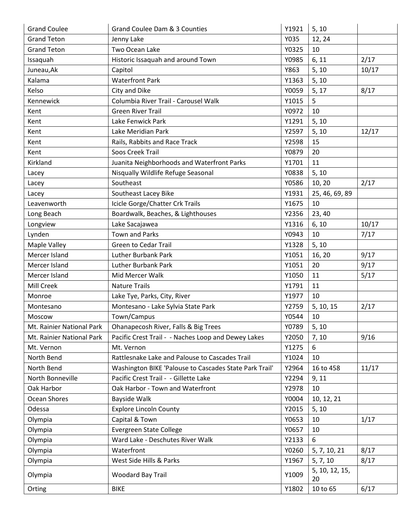| <b>Grand Coulee</b>       | Grand Coulee Dam & 3 Counties                          | Y1921 | 5, 10                |       |
|---------------------------|--------------------------------------------------------|-------|----------------------|-------|
| <b>Grand Teton</b>        | Jenny Lake                                             | Y035  | 12, 24               |       |
| <b>Grand Teton</b>        | Two Ocean Lake                                         | Y0325 | 10                   |       |
| Issaquah                  | Historic Issaquah and around Town                      | Y0985 | 6, 11                | 2/17  |
| Juneau, Ak                | Capitol                                                | Y863  | 5, 10                | 10/17 |
| Kalama                    | <b>Waterfront Park</b>                                 | Y1363 | 5, 10                |       |
| Kelso                     | City and Dike                                          | Y0059 | 5, 17                | 8/17  |
| Kennewick                 | Columbia River Trail - Carousel Walk                   | Y1015 | 5                    |       |
| Kent                      | <b>Green River Trail</b>                               | Y0972 | 10                   |       |
| Kent                      | Lake Fenwick Park                                      | Y1291 | 5, 10                |       |
| Kent                      | Lake Meridian Park                                     | Y2597 | 5, 10                | 12/17 |
| Kent                      | Rails, Rabbits and Race Track                          | Y2598 | 15                   |       |
| Kent                      | Soos Creek Trail                                       | Y0879 | 20                   |       |
| Kirkland                  | Juanita Neighborhoods and Waterfront Parks             | Y1701 | 11                   |       |
| Lacey                     | Nisqually Wildlife Refuge Seasonal                     | Y0838 | 5, 10                |       |
| Lacey                     | Southeast                                              | Y0586 | 10, 20               | 2/17  |
| Lacey                     | Southeast Lacey Bike                                   | Y1931 | 25, 46, 69, 89       |       |
| Leavenworth               | Icicle Gorge/Chatter Crk Trails                        | Y1675 | 10                   |       |
| Long Beach                | Boardwalk, Beaches, & Lighthouses                      | Y2356 | 23, 40               |       |
| Longview                  | Lake Sacajawea                                         | Y1316 | 6, 10                | 10/17 |
| Lynden                    | <b>Town and Parks</b>                                  | Y0943 | 10                   | 7/17  |
| Maple Valley              | <b>Green to Cedar Trail</b>                            | Y1328 | 5, 10                |       |
| Mercer Island             | <b>Luther Burbank Park</b>                             | Y1051 | 16, 20               | 9/17  |
| Mercer Island             | <b>Luther Burbank Park</b>                             | Y1051 | 20                   | 9/17  |
| Mercer Island             | Mid Mercer Walk                                        | Y1050 | 11                   | 5/17  |
| Mill Creek                | <b>Nature Trails</b>                                   | Y1791 | 11                   |       |
| Monroe                    | Lake Tye, Parks, City, River                           | Y1977 | 10                   |       |
| Montesano                 | Montesano - Lake Sylvia State Park                     | Y2759 | 5, 10, 15            | 2/17  |
| Moscow                    | Town/Campus                                            | Y0544 | 10                   |       |
| Mt. Rainier National Park | Ohanapecosh River, Falls & Big Trees                   | Y0789 | 5, 10                |       |
| Mt. Rainier National Park | Pacific Crest Trail - - Naches Loop and Dewey Lakes    | Y2050 | 7, 10                | 9/16  |
| Mt. Vernon                | Mt. Vernon                                             | Y1275 | 6                    |       |
| North Bend                | Rattlesnake Lake and Palouse to Cascades Trail         | Y1024 | 10                   |       |
| North Bend                | Washington BIKE 'Palouse to Cascades State Park Trail' | Y2964 | 16 to 458            | 11/17 |
| North Bonneville          | Pacific Crest Trail - - Gillette Lake                  | Y2294 | 9, 11                |       |
| Oak Harbor                | Oak Harbor - Town and Waterfront                       | Y2978 | 10                   |       |
| Ocean Shores              | Bayside Walk                                           | Y0004 | 10, 12, 21           |       |
| Odessa                    | <b>Explore Lincoln County</b>                          | Y2015 | 5, 10                |       |
| Olympia                   | Capital & Town                                         | Y0653 | 10                   | 1/17  |
| Olympia                   | Evergreen State College                                | Y0657 | 10                   |       |
| Olympia                   | Ward Lake - Deschutes River Walk                       | Y2133 | 6                    |       |
| Olympia                   | Waterfront                                             | Y0260 | 5, 7, 10, 21         | 8/17  |
| Olympia                   | West Side Hills & Parks                                | Y1967 | 5, 7, 10             | 8/17  |
| Olympia                   | Woodard Bay Trail                                      | Y1009 | 5, 10, 12, 15,<br>20 |       |
| Orting                    | <b>BIKE</b>                                            | Y1802 | 10 to 65             | 6/17  |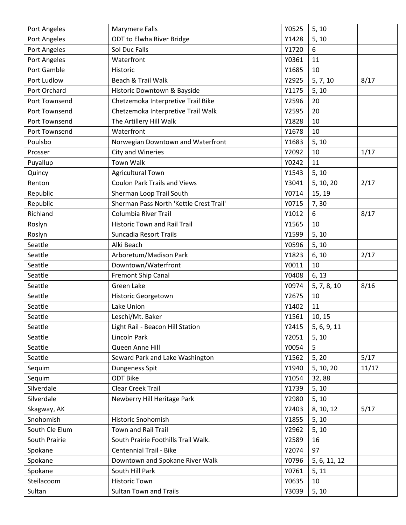| Port Angeles   | Marymere Falls                          | Y0525 | 5, 10        |       |
|----------------|-----------------------------------------|-------|--------------|-------|
| Port Angeles   | ODT to Elwha River Bridge               | Y1428 | 5, 10        |       |
| Port Angeles   | Sol Duc Falls                           | Y1720 | 6            |       |
| Port Angeles   | Waterfront                              | Y0361 | 11           |       |
| Port Gamble    | Historic                                | Y1685 | 10           |       |
| Port Ludlow    | Beach & Trail Walk                      | Y2925 | 5, 7, 10     | 8/17  |
| Port Orchard   | Historic Downtown & Bayside             | Y1175 | 5, 10        |       |
| Port Townsend  | Chetzemoka Interpretive Trail Bike      | Y2596 | 20           |       |
| Port Townsend  | Chetzemoka Interpretive Trail Walk      | Y2595 | 20           |       |
| Port Townsend  | The Artillery Hill Walk                 | Y1828 | 10           |       |
| Port Townsend  | Waterfront                              | Y1678 | 10           |       |
| Poulsbo        | Norwegian Downtown and Waterfront       | Y1683 | 5, 10        |       |
| Prosser        | <b>City and Wineries</b>                | Y2092 | 10           | 1/17  |
| Puyallup       | <b>Town Walk</b>                        | Y0242 | 11           |       |
| Quincy         | Agricultural Town                       | Y1543 | 5, 10        |       |
| Renton         | <b>Coulon Park Trails and Views</b>     | Y3041 | 5, 10, 20    | 2/17  |
| Republic       | Sherman Loop Trail South                | Y0714 | 15, 19       |       |
| Republic       | Sherman Pass North 'Kettle Crest Trail' | Y0715 | 7,30         |       |
| Richland       | Columbia River Trail                    | Y1012 | 6            | 8/17  |
| Roslyn         | <b>Historic Town and Rail Trail</b>     | Y1565 | 10           |       |
| Roslyn         | Suncadia Resort Trails                  | Y1599 | 5, 10        |       |
| Seattle        | Alki Beach                              | Y0596 | 5, 10        |       |
| Seattle        | Arboretum/Madison Park                  | Y1823 | 6, 10        | 2/17  |
| Seattle        | Downtown/Waterfront                     | Y0011 | 10           |       |
| Seattle        | Fremont Ship Canal                      | Y0408 | 6, 13        |       |
| Seattle        | Green Lake                              | Y0974 | 5, 7, 8, 10  | 8/16  |
| Seattle        | <b>Historic Georgetown</b>              | Y2675 | 10           |       |
| Seattle        | Lake Union                              | Y1402 | 11           |       |
| Seattle        | Leschi/Mt. Baker                        | Y1561 | 10, 15       |       |
| Seattle        | Light Rail - Beacon Hill Station        | Y2415 | 5, 6, 9, 11  |       |
| Seattle        | Lincoln Park                            | Y2051 | 5, 10        |       |
| Seattle        | Queen Anne Hill                         | Y0054 | 5            |       |
| Seattle        | Seward Park and Lake Washington         | Y1562 | 5, 20        | 5/17  |
| Sequim         | Dungeness Spit                          | Y1940 | 5, 10, 20    | 11/17 |
| Sequim         | <b>ODT Bike</b>                         | Y1054 | 32,88        |       |
| Silverdale     | <b>Clear Creek Trail</b>                | Y1739 | 5, 10        |       |
| Silverdale     | Newberry Hill Heritage Park             | Y2980 | 5, 10        |       |
| Skagway, AK    |                                         | Y2403 | 8, 10, 12    | 5/17  |
| Snohomish      | Historic Snohomish                      | Y1855 | 5, 10        |       |
| South Cle Elum | <b>Town and Rail Trail</b>              | Y2962 | 5, 10        |       |
| South Prairie  | South Prairie Foothills Trail Walk.     | Y2589 | 16           |       |
| Spokane        | <b>Centennial Trail - Bike</b>          | Y2074 | 97           |       |
| Spokane        | Downtown and Spokane River Walk         | Y0796 | 5, 6, 11, 12 |       |
| Spokane        | South Hill Park                         | Y0761 | 5, 11        |       |
| Steilacoom     | <b>Historic Town</b>                    | Y0635 | 10           |       |
| Sultan         | <b>Sultan Town and Trails</b>           | Y3039 | 5, 10        |       |